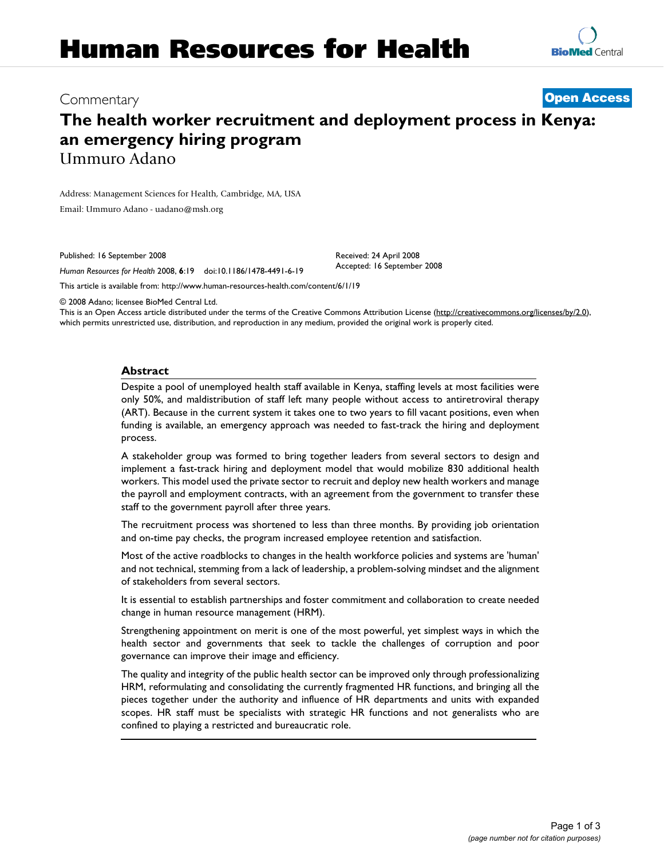# Commentary **[Open Access](http://www.biomedcentral.com/info/about/charter/)**

# **The health worker recruitment and deployment process in Kenya: an emergency hiring program** Ummuro Adano

Address: Management Sciences for Health, Cambridge, MA, USA Email: Ummuro Adano - uadano@msh.org

Published: 16 September 2008

*Human Resources for Health* 2008, **6**:19 doi:10.1186/1478-4491-6-19

[This article is available from: http://www.human-resources-health.com/content/6/1/19](http://www.human-resources-health.com/content/6/1/19)

© 2008 Adano; licensee BioMed Central Ltd.

This is an Open Access article distributed under the terms of the Creative Commons Attribution License [\(http://creativecommons.org/licenses/by/2.0\)](http://creativecommons.org/licenses/by/2.0), which permits unrestricted use, distribution, and reproduction in any medium, provided the original work is properly cited.

Received: 24 April 2008 Accepted: 16 September 2008

#### **Abstract**

Despite a pool of unemployed health staff available in Kenya, staffing levels at most facilities were only 50%, and maldistribution of staff left many people without access to antiretroviral therapy (ART). Because in the current system it takes one to two years to fill vacant positions, even when funding is available, an emergency approach was needed to fast-track the hiring and deployment process.

A stakeholder group was formed to bring together leaders from several sectors to design and implement a fast-track hiring and deployment model that would mobilize 830 additional health workers. This model used the private sector to recruit and deploy new health workers and manage the payroll and employment contracts, with an agreement from the government to transfer these staff to the government payroll after three years.

The recruitment process was shortened to less than three months. By providing job orientation and on-time pay checks, the program increased employee retention and satisfaction.

Most of the active roadblocks to changes in the health workforce policies and systems are 'human' and not technical, stemming from a lack of leadership, a problem-solving mindset and the alignment of stakeholders from several sectors.

It is essential to establish partnerships and foster commitment and collaboration to create needed change in human resource management (HRM).

Strengthening appointment on merit is one of the most powerful, yet simplest ways in which the health sector and governments that seek to tackle the challenges of corruption and poor governance can improve their image and efficiency.

The quality and integrity of the public health sector can be improved only through professionalizing HRM, reformulating and consolidating the currently fragmented HR functions, and bringing all the pieces together under the authority and influence of HR departments and units with expanded scopes. HR staff must be specialists with strategic HR functions and not generalists who are confined to playing a restricted and bureaucratic role.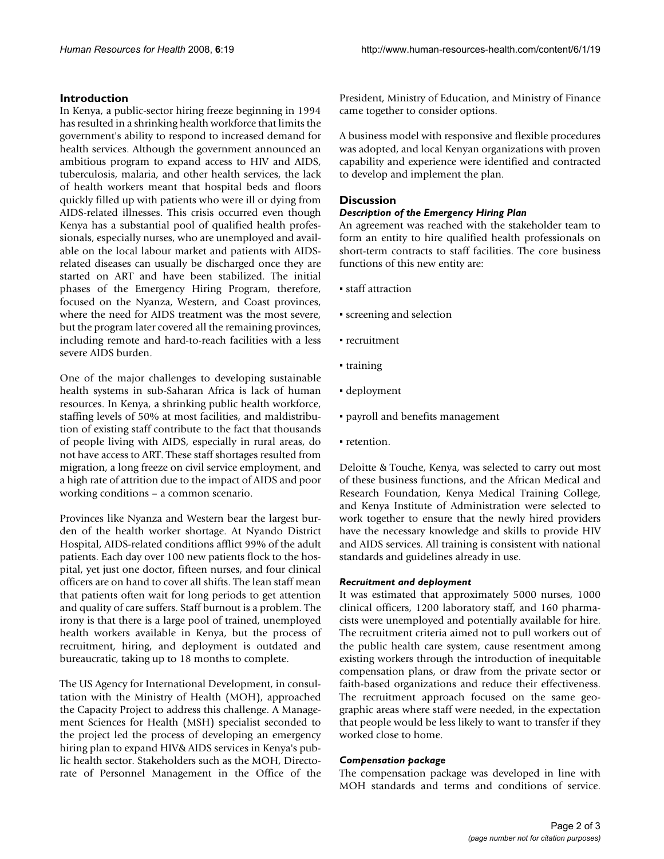#### **Introduction**

In Kenya, a public-sector hiring freeze beginning in 1994 has resulted in a shrinking health workforce that limits the government's ability to respond to increased demand for health services. Although the government announced an ambitious program to expand access to HIV and AIDS, tuberculosis, malaria, and other health services, the lack of health workers meant that hospital beds and floors quickly filled up with patients who were ill or dying from AIDS-related illnesses. This crisis occurred even though Kenya has a substantial pool of qualified health professionals, especially nurses, who are unemployed and available on the local labour market and patients with AIDSrelated diseases can usually be discharged once they are started on ART and have been stabilized. The initial phases of the Emergency Hiring Program, therefore, focused on the Nyanza, Western, and Coast provinces, where the need for AIDS treatment was the most severe, but the program later covered all the remaining provinces, including remote and hard-to-reach facilities with a less severe AIDS burden.

One of the major challenges to developing sustainable health systems in sub-Saharan Africa is lack of human resources. In Kenya, a shrinking public health workforce, staffing levels of 50% at most facilities, and maldistribution of existing staff contribute to the fact that thousands of people living with AIDS, especially in rural areas, do not have access to ART. These staff shortages resulted from migration, a long freeze on civil service employment, and a high rate of attrition due to the impact of AIDS and poor working conditions – a common scenario.

Provinces like Nyanza and Western bear the largest burden of the health worker shortage. At Nyando District Hospital, AIDS-related conditions afflict 99% of the adult patients. Each day over 100 new patients flock to the hospital, yet just one doctor, fifteen nurses, and four clinical officers are on hand to cover all shifts. The lean staff mean that patients often wait for long periods to get attention and quality of care suffers. Staff burnout is a problem. The irony is that there is a large pool of trained, unemployed health workers available in Kenya, but the process of recruitment, hiring, and deployment is outdated and bureaucratic, taking up to 18 months to complete.

The US Agency for International Development, in consultation with the Ministry of Health (MOH), approached the Capacity Project to address this challenge. A Management Sciences for Health (MSH) specialist seconded to the project led the process of developing an emergency hiring plan to expand HIV& AIDS services in Kenya's public health sector. Stakeholders such as the MOH, Directorate of Personnel Management in the Office of the President, Ministry of Education, and Ministry of Finance came together to consider options.

A business model with responsive and flexible procedures was adopted, and local Kenyan organizations with proven capability and experience were identified and contracted to develop and implement the plan.

## **Discussion**

#### *Description of the Emergency Hiring Plan*

An agreement was reached with the stakeholder team to form an entity to hire qualified health professionals on short-term contracts to staff facilities. The core business functions of this new entity are:

- staff attraction
- screening and selection
- recruitment
- training
- deployment
- payroll and benefits management
- retention.

Deloitte & Touche, Kenya, was selected to carry out most of these business functions, and the African Medical and Research Foundation, Kenya Medical Training College, and Kenya Institute of Administration were selected to work together to ensure that the newly hired providers have the necessary knowledge and skills to provide HIV and AIDS services. All training is consistent with national standards and guidelines already in use.

#### *Recruitment and deployment*

It was estimated that approximately 5000 nurses, 1000 clinical officers, 1200 laboratory staff, and 160 pharmacists were unemployed and potentially available for hire. The recruitment criteria aimed not to pull workers out of the public health care system, cause resentment among existing workers through the introduction of inequitable compensation plans, or draw from the private sector or faith-based organizations and reduce their effectiveness. The recruitment approach focused on the same geographic areas where staff were needed, in the expectation that people would be less likely to want to transfer if they worked close to home.

#### *Compensation package*

The compensation package was developed in line with MOH standards and terms and conditions of service.